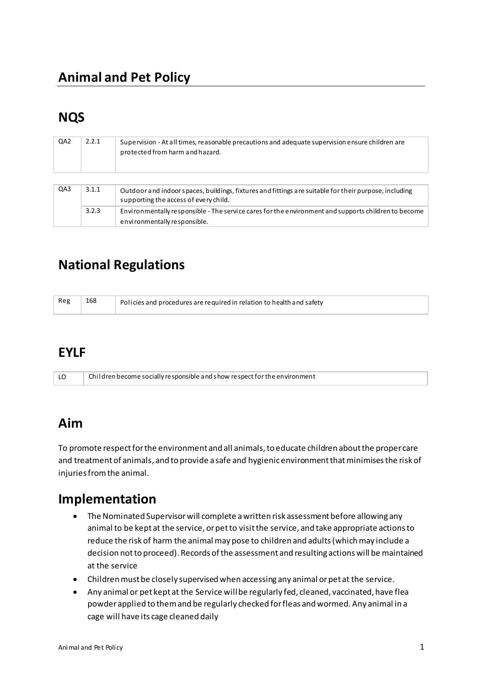## **Animal and Pet Policy**

# **NQS**

| QA <sub>2</sub> | 2.2.1 | Supervision - At all times, reasonable precautions and adequate supervision ensure children are<br>protected from harm and hazard.             |
|-----------------|-------|------------------------------------------------------------------------------------------------------------------------------------------------|
| QA3             | 3.1.1 | Outdoor and indoor spaces, buildings, fixtures and fittings are suitable for their purpose, including<br>supporting the access of every child. |
|                 | 3.2.3 | Environmentally responsible - The service cares for the environment and supports children to become<br>environmentally responsible.            |

# **National Regulations**

| Reg | 168 | Policies and procedures are required in relation to health and safety |
|-----|-----|-----------------------------------------------------------------------|
|     |     |                                                                       |

#### **EYLF**

| LO | $\mid$ Children become socially responsible and show respect for the environment |
|----|----------------------------------------------------------------------------------|
|----|----------------------------------------------------------------------------------|

### **Aim**

To promote respect for the environment and all animals, to educate children about the proper care and treatment of animals, and to provide a safe and hygienic environment that minimises the risk of injuries from the animal.

### **Implementation**

- The Nominated Supervisor will complete a written risk assessment before allowing any animal to be kept at the service, or pet to visit the service, and take appropriate actions to reduce the risk of harm the animal may pose to children and adults (which may include a decision not to proceed). Records of the assessment and resulting actions will be maintained at the service
- Children must be closely supervised when accessing any animal or pet at the service.
- Any animal or pet kept at the Service will be regularly fed, cleaned, vaccinated, have flea powder applied to them and be regularly checked for fleas and wormed. Any animal in a cage will have its cage cleaned daily